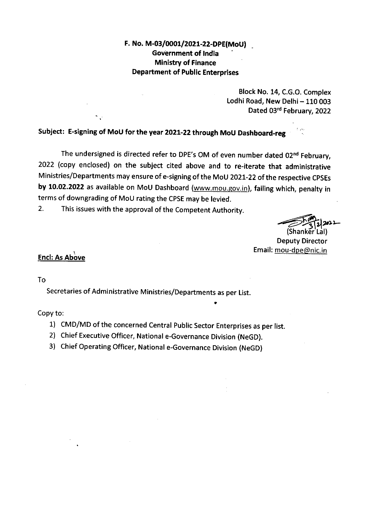F. No. M-03/0001/2021-22-DPE(MoU) **Government of India Ministry of Finance Department of Public Enterprises** 

> Block No. 14, C.G.O. Complex Lodhi Road, New Delhi - 110 003 Dated 03rd February, 2022

Subject: E-signing of MoU for the year 2021-22 through MoU Dashboard-reg

The undersigned is directed refer to DPE's OM of even number dated 02<sup>nd</sup> February, 2022 (copy enclosed) on the subject cited above and to re-iterate that administrative Ministries/Departments may ensure of e-signing of the MoU 2021-22 of the respective CPSEs by 10.02.2022 as available on MoU Dashboard (www.mou.gov.in), failing which, penalty in terms of downgrading of MoU rating the CPSE may be levied.

 $2<sub>1</sub>$ This issues with the approval of the Competent Authority.

**Deputy Director** Email: mou-dpe@nic.in

## **Encl: As Above**

To

Secretaries of Administrative Ministries/Departments as per List.

Copy to:

- 1) CMD/MD of the concerned Central Public Sector Enterprises as per list.
- 2) Chief Executive Officer, National e-Governance Division (NeGD).
- 3) Chief Operating Officer, National e-Governance Division (NeGD)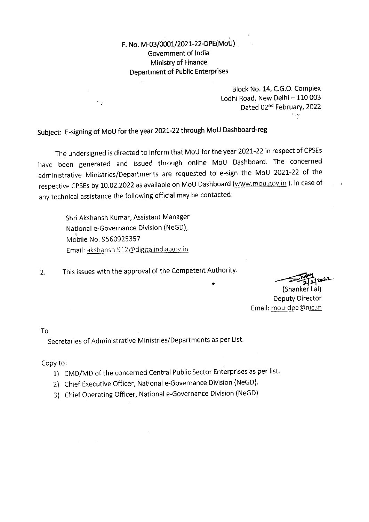F. No. M-03/0001/2021-22-DPE(MoU) Government of India Ministry of Finance **Department of Public Enterprises** 

> Block No. 14, C.G.O. Complex Lodhi Road, New Delhi - 110 003 Dated 02nd February, 2022  $\mathcal{L}_{\mathcal{A}}$

Subject: E-signing of MoU for the year 2021-22 through MoU Dashboard-reg

The undersigned is directed to inform that MoU for the year 2021-22 in respect of CPSEs have been generated and issued through online MoU Dashboard. The concerned administrative Ministries/Departments are requested to e-sign the MoU 2021-22 of the respective CPSEs by 10.02.2022 as available on MoU Dashboard (www.mou.gov.in). In case of any technical assistance the following official may be contacted:

Shri Akshansh Kumar, Assistant Manager National e-Governance Division (NeGD), Mobile No. 9560925357 Email: akshansh.912@digitalindia.gov.in

 $\overline{\phantom{a}}$  .

This issues with the approval of the Competent Authority.  $2.$ 

(Shanker Lal) **Deputy Director** Email: mou-dpe@nic.in

Tο<sub></sub>

Secretaries of Administrative Ministries/Departments as per List.

Copy to:

- 1) CMD/MD of the concerned Central Public Sector Enterprises as per list.
- 2) Chief Executive Officer, National e-Governance Division (NeGD).
- 3) Chief Operating Officer, National e-Governance Division (NeGD)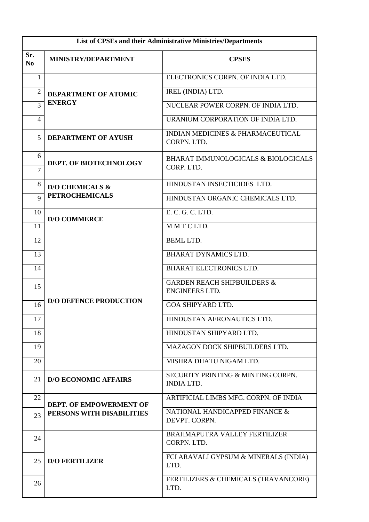| List of CPSEs and their Administrative Ministries/Departments |                                       |                                                                 |  |
|---------------------------------------------------------------|---------------------------------------|-----------------------------------------------------------------|--|
| Sr.<br>N <sub>0</sub>                                         | <b>MINISTRY/DEPARTMENT</b>            | <b>CPSES</b>                                                    |  |
| 1                                                             | DEPARTMENT OF ATOMIC<br><b>ENERGY</b> | ELECTRONICS CORPN. OF INDIA LTD.                                |  |
| $\overline{2}$                                                |                                       | IREL (INDIA) LTD.                                               |  |
| 3                                                             |                                       | NUCLEAR POWER CORPN. OF INDIA LTD.                              |  |
| 4                                                             |                                       | URANIUM CORPORATION OF INDIA LTD.                               |  |
| 5                                                             | <b>DEPARTMENT OF AYUSH</b>            | <b>INDIAN MEDICINES &amp; PHARMACEUTICAL</b><br>CORPN. LTD.     |  |
| 6<br>$\overline{7}$                                           | <b>DEPT. OF BIOTECHNOLOGY</b>         | BHARAT IMMUNOLOGICALS & BIOLOGICALS<br>CORP. LTD.               |  |
| 8                                                             | <b>D/O CHEMICALS &amp;</b>            | HINDUSTAN INSECTICIDES LTD.                                     |  |
| 9                                                             | <b>PETROCHEMICALS</b>                 | HINDUSTAN ORGANIC CHEMICALS LTD.                                |  |
| 10                                                            | <b>D/O COMMERCE</b>                   | E. C. G. C. LTD.                                                |  |
| 11                                                            |                                       | MMTCLTD.                                                        |  |
| 12                                                            |                                       | <b>BEML LTD.</b>                                                |  |
| 13                                                            |                                       | <b>BHARAT DYNAMICS LTD.</b>                                     |  |
| 14                                                            |                                       | <b>BHARAT ELECTRONICS LTD.</b>                                  |  |
| 15                                                            |                                       | <b>GARDEN REACH SHIPBUILDERS &amp;</b><br><b>ENGINEERS LTD.</b> |  |
| 16                                                            | <b>D/O DEFENCE PRODUCTION</b>         | <b>GOA SHIPYARD LTD.</b>                                        |  |
| 17                                                            |                                       | HINDUSTAN AERONAUTICS LTD.                                      |  |
| 18                                                            |                                       | HINDUSTAN SHIPYARD LTD.                                         |  |
| 19                                                            |                                       | MAZAGON DOCK SHIPBUILDERS LTD.                                  |  |
| 20                                                            |                                       | MISHRA DHATU NIGAM LTD.                                         |  |
| 21                                                            | <b>D/O ECONOMIC AFFAIRS</b>           | SECURITY PRINTING & MINTING CORPN.<br><b>INDIA LTD.</b>         |  |
| 22                                                            | DEPT. OF EMPOWERMENT OF               | ARTIFICIAL LIMBS MFG. CORPN. OF INDIA                           |  |
| 23                                                            | PERSONS WITH DISABILITIES             | NATIONAL HANDICAPPED FINANCE &<br>DEVPT. CORPN.                 |  |
| 24                                                            | <b>D/O FERTILIZER</b>                 | <b>BRAHMAPUTRA VALLEY FERTILIZER</b><br>CORPN. LTD.             |  |
| 25                                                            |                                       | FCI ARAVALI GYPSUM & MINERALS (INDIA)<br>LTD.                   |  |
| 26                                                            |                                       | FERTILIZERS & CHEMICALS (TRAVANCORE)<br>LTD.                    |  |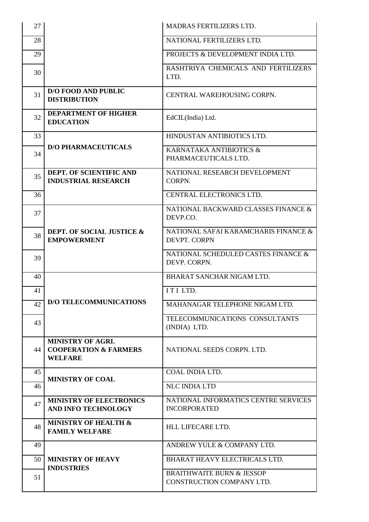| 27 |                                                                                | <b>MADRAS FERTILIZERS LTD.</b>                                    |
|----|--------------------------------------------------------------------------------|-------------------------------------------------------------------|
| 28 |                                                                                | NATIONAL FERTILIZERS LTD.                                         |
| 29 |                                                                                | PROJECTS & DEVELOPMENT INDIA LTD.                                 |
| 30 |                                                                                | RASHTRIYA CHEMICALS AND FERTILIZERS<br>LTD.                       |
| 31 | <b>D/O FOOD AND PUBLIC</b><br><b>DISTRIBUTION</b>                              | CENTRAL WAREHOUSING CORPN.                                        |
| 32 | <b>DEPARTMENT OF HIGHER</b><br><b>EDUCATION</b>                                | EdCIL(India) Ltd.                                                 |
| 33 |                                                                                | HINDUSTAN ANTIBIOTICS LTD.                                        |
| 34 | <b>D/O PHARMACEUTICALS</b>                                                     | KARNATAKA ANTIBIOTICS &<br>PHARMACEUTICALS LTD.                   |
| 35 | DEPT. OF SCIENTIFIC AND<br><b>INDUSTRIAL RESEARCH</b>                          | NATIONAL RESEARCH DEVELOPMENT<br>CORPN.                           |
| 36 |                                                                                | CENTRAL ELECTRONICS LTD.                                          |
| 37 |                                                                                | NATIONAL BACKWARD CLASSES FINANCE &<br>DEVP.CO.                   |
| 38 | DEPT. OF SOCIAL JUSTICE &<br><b>EMPOWERMENT</b>                                | NATIONAL SAFAI KARAMCHARIS FINANCE &<br>DEVPT. CORPN              |
| 39 |                                                                                | NATIONAL SCHEDULED CASTES FINANCE &<br>DEVP. CORPN.               |
| 40 |                                                                                | BHARAT SANCHAR NIGAM LTD.                                         |
| 41 |                                                                                | ITILTD.                                                           |
| 42 | <b>D/O TELECOMMUNICATIONS</b>                                                  | MAHANAGAR TELEPHONE NIGAM LTD.                                    |
| 43 |                                                                                | TELECOMMUNICATIONS CONSULTANTS<br>(INDIA) LTD.                    |
| 44 | <b>MINISTRY OF AGRI.</b><br><b>COOPERATION &amp; FARMERS</b><br><b>WELFARE</b> | NATIONAL SEEDS CORPN. LTD.                                        |
| 45 | <b>MINISTRY OF COAL</b>                                                        | COAL INDIA LTD.                                                   |
| 46 |                                                                                | <b>NLC INDIA LTD</b>                                              |
| 47 | <b>MINISTRY OF ELECTRONICS</b><br>AND INFO TECHNOLOGY                          | NATIONAL INFORMATICS CENTRE SERVICES<br><b>INCORPORATED</b>       |
| 48 | <b>MINISTRY OF HEALTH &amp;</b><br><b>FAMILY WELFARE</b>                       | HLL LIFECARE LTD.                                                 |
| 49 |                                                                                | ANDREW YULE & COMPANY LTD.                                        |
| 50 | <b>MINISTRY OF HEAVY</b><br><b>INDUSTRIES</b>                                  | BHARAT HEAVY ELECTRICALS LTD.                                     |
| 51 |                                                                                | <b>BRAITHWAITE BURN &amp; JESSOP</b><br>CONSTRUCTION COMPANY LTD. |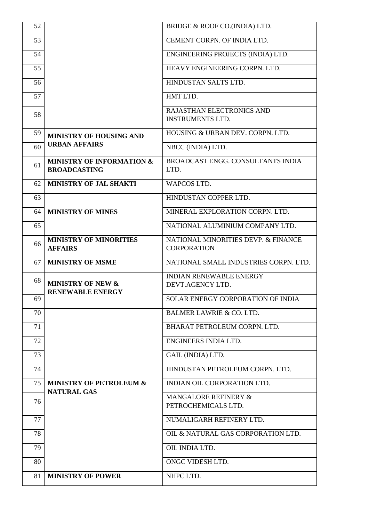| 52 |                                                             | BRIDGE & ROOF CO.(INDIA) LTD.                             |
|----|-------------------------------------------------------------|-----------------------------------------------------------|
| 53 |                                                             | CEMENT CORPN. OF INDIA LTD.                               |
| 54 |                                                             | ENGINEERING PROJECTS (INDIA) LTD.                         |
| 55 |                                                             | HEAVY ENGINEERING CORPN. LTD.                             |
| 56 |                                                             | HINDUSTAN SALTS LTD.                                      |
| 57 |                                                             | HMT LTD.                                                  |
| 58 |                                                             | RAJASTHAN ELECTRONICS AND<br><b>INSTRUMENTS LTD.</b>      |
| 59 | <b>MINISTRY OF HOUSING AND</b>                              | HOUSING & URBAN DEV. CORPN. LTD.                          |
| 60 | <b>URBAN AFFAIRS</b>                                        | NBCC (INDIA) LTD.                                         |
| 61 | <b>MINISTRY OF INFORMATION &amp;</b><br><b>BROADCASTING</b> | BROADCAST ENGG. CONSULTANTS INDIA<br>LTD.                 |
| 62 | <b>MINISTRY OF JAL SHAKTI</b>                               | <b>WAPCOS LTD.</b>                                        |
| 63 |                                                             | HINDUSTAN COPPER LTD.                                     |
| 64 | <b>MINISTRY OF MINES</b>                                    | MINERAL EXPLORATION CORPN. LTD.                           |
| 65 |                                                             | NATIONAL ALUMINIUM COMPANY LTD.                           |
| 66 | <b>MINISTRY OF MINORITIES</b><br><b>AFFAIRS</b>             | NATIONAL MINORITIES DEVP. & FINANCE<br><b>CORPORATION</b> |
|    |                                                             |                                                           |
| 67 | <b>MINISTRY OF MSME</b>                                     | NATIONAL SMALL INDUSTRIES CORPN. LTD.                     |
| 68 | <b>MINISTRY OF NEW &amp;</b>                                | <b>INDIAN RENEWABLE ENERGY</b><br>DEVT.AGENCY LTD.        |
| 69 | <b>RENEWABLE ENERGY</b>                                     | SOLAR ENERGY CORPORATION OF INDIA                         |
| 70 |                                                             | <b>BALMER LAWRIE &amp; CO. LTD.</b>                       |
| 71 |                                                             | BHARAT PETROLEUM CORPN. LTD.                              |
| 72 |                                                             | ENGINEERS INDIA LTD.                                      |
| 73 |                                                             | GAIL (INDIA) LTD.                                         |
| 74 |                                                             | HINDUSTAN PETROLEUM CORPN. LTD.                           |
| 75 | <b>MINISTRY OF PETROLEUM &amp;</b>                          | INDIAN OIL CORPORATION LTD.                               |
| 76 | <b>NATURAL GAS</b>                                          | MANGALORE REFINERY &<br>PETROCHEMICALS LTD.               |
| 77 |                                                             | NUMALIGARH REFINERY LTD.                                  |
| 78 |                                                             | OIL & NATURAL GAS CORPORATION LTD.                        |
| 79 |                                                             | OIL INDIA LTD.                                            |
| 80 |                                                             | ONGC VIDESH LTD.                                          |